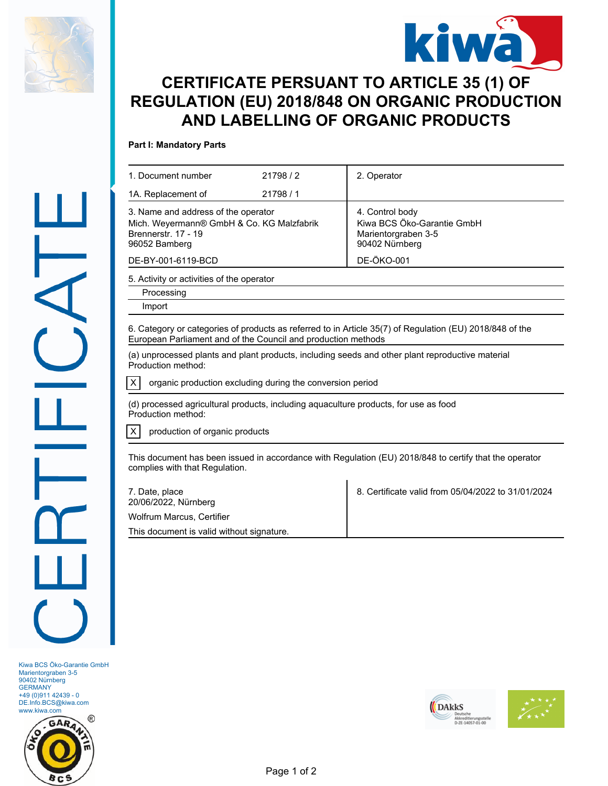



## **CERTIFICATE PERSUANT TO ARTICLE 35 (1) OF REGULATION (EU) 2018/848 ON ORGANIC PRODUCTION AND LABELLING OF ORGANIC PRODUCTS**

## **Part I: Mandatory Parts**

| 1. Document number                                                                                                       | 21798/2                                                   | 2. Operator                                                                                            |
|--------------------------------------------------------------------------------------------------------------------------|-----------------------------------------------------------|--------------------------------------------------------------------------------------------------------|
| 1A. Replacement of                                                                                                       | 21798 / 1                                                 |                                                                                                        |
| 3. Name and address of the operator<br>Mich. Weyermann® GmbH & Co. KG Malzfabrik<br>Brennerstr. 17 - 19<br>96052 Bamberg |                                                           | 4. Control body<br>Kiwa BCS Öko-Garantie GmbH<br>Marientorgraben 3-5<br>90402 Nürnberg                 |
| DE-BY-001-6119-BCD                                                                                                       |                                                           | <b>DE-ÖKO-001</b>                                                                                      |
| 5. Activity or activities of the operator                                                                                |                                                           |                                                                                                        |
| Processing                                                                                                               |                                                           |                                                                                                        |
| Import                                                                                                                   |                                                           |                                                                                                        |
| Production method:<br>X                                                                                                  | organic production excluding during the conversion period | (a) unprocessed plants and plant products, including seeds and other plant reproductive material       |
| Production method:                                                                                                       |                                                           | (d) processed agricultural products, including aquaculture products, for use as food                   |
| Χ<br>production of organic products                                                                                      |                                                           |                                                                                                        |
| complies with that Regulation.                                                                                           |                                                           | This document has been issued in accordance with Regulation (EU) 2018/848 to certify that the operator |
| 7. Date, place<br>20/06/2022, Nürnberg                                                                                   |                                                           | 8. Certificate valid from 05/04/2022 to 31/01/2024                                                     |
| <b>Wolfrum Marcus, Certifier</b>                                                                                         |                                                           |                                                                                                        |

This document is valid without signature.

Kiwa BCS Öko-Garantie GmbH Marientorgraben 3-5 90402 Nürnberg GERMANY +49 (0)911 42439 - 0 DE.Info.BCS@kiwa.com www.kiwa.com